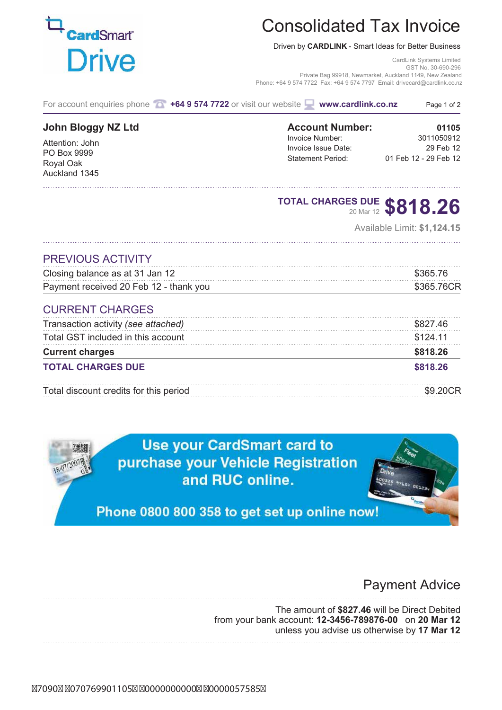## Consolidated Tax Invoice

Driven by **CARDLINK** - Smart Ideas for Better Business

CardLink Systems Limited GST No. 30-690-296 Private Bag 99918, Newmarket, Auckland 1149, New Zealand Phone: +64 9 574 7722 Fax: +64 9 574 7797 Email: drivecard@cardlink.co.nz

| For account enquiries phone <b>To</b> |  | +64 9 574 7722 or visit our website |  | $\blacksquare$ www.cardlink.co.nz | Page 1 of 2 |
|---------------------------------------|--|-------------------------------------|--|-----------------------------------|-------------|
|---------------------------------------|--|-------------------------------------|--|-----------------------------------|-------------|

### **John Bloggy NZ Ltd**

Attention: John PO Box 9999 Royal Oak Auckland 1345

### **Account Number:** 01105<br> **Invoice Number:** 3011050912 Invoice Number: Invoice Issue Date: 29 Feb 12 Statement Period: 01 Feb 12 - 29 Feb 12

# **TOTAL CHARGES DUE** 20 Mar 12 **\$818.26**

Available Limit: **\$1,124.15**

### PREVIOUS ACTIVITY

| Closing balance as at 31 Jan 12        | \$365 76   |
|----------------------------------------|------------|
| Payment received 20 Feb 12 - thank you | \$365.76CR |
| <b>CURRENT CHARGES</b>                 |            |
| Transaction activity (see attached)    | \$827.46   |
| Total GST included in this account     | \$124.11   |
| <b>Current charges</b>                 | \$818.26   |
| <b>TOTAL CHARGES DUE</b>               | \$818.26   |
| Total discount credits for this period |            |

**Use your CardSmart card to** purchase your Vehicle Registration and RUC online.

Phone 0800 800 358 to get set up online now!

### Payment Advice

The amount of **\$827.46** will be Direct Debited from your bank account: **12-3456-789876-00** on **20 Mar 12** unless you advise us otherwise by **17 Mar 12**